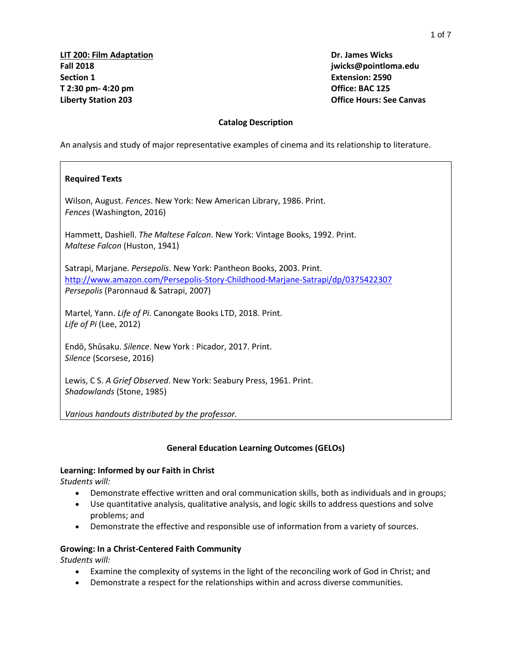#### **Catalog Description**

An analysis and study of major representative examples of cinema and its relationship to literature.

#### **Required Texts**

Wilson, August. *Fences*. New York: New American Library, 1986. Print. *Fences* (Washington, 2016)

Hammett, Dashiell. *The Maltese Falcon*. New York: Vintage Books, 1992. Print. *Maltese Falcon* (Huston, 1941)

Satrapi, Marjane. *Persepolis*. New York: Pantheon Books, 2003. Print. <http://www.amazon.com/Persepolis-Story-Childhood-Marjane-Satrapi/dp/0375422307> *Persepolis* (Paronnaud & Satrapi, 2007)

Martel, Yann. *Life of Pi*. Canongate Books LTD, 2018. Print. *Life of Pi* (Lee, 2012)

Endō, Shūsaku. *Silence*. New York : Picador, 2017. Print. *Silence* (Scorsese, 2016)

Lewis, C S. *A Grief Observed*. New York: Seabury Press, 1961. Print. *Shadowlands* (Stone, 1985)

*Various handouts distributed by the professor.*

# **General Education Learning Outcomes (GELOs)**

#### **Learning: Informed by our Faith in Christ**

*Students will:*

- Demonstrate effective written and oral communication skills, both as individuals and in groups;
- Use quantitative analysis, qualitative analysis, and logic skills to address questions and solve problems; and
- Demonstrate the effective and responsible use of information from a variety of sources.

# **Growing: In a Christ-Centered Faith Community**

*Students will:*

- Examine the complexity of systems in the light of the reconciling work of God in Christ; and
- Demonstrate a respect for the relationships within and across diverse communities.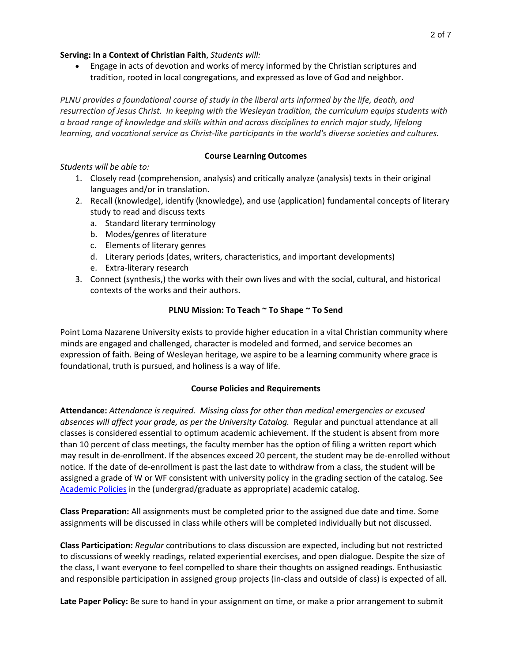# 2 of 7

#### **Serving: In a Context of Christian Faith**, *Students will:*

 Engage in acts of devotion and works of mercy informed by the Christian scriptures and tradition, rooted in local congregations, and expressed as love of God and neighbor.

*PLNU provides a foundational course of study in the liberal arts informed by the life, death, and resurrection of Jesus Christ. In keeping with the Wesleyan tradition, the curriculum equips students with a broad range of knowledge and skills within and across disciplines to enrich major study, lifelong learning, and vocational service as Christ-like participants in the world's diverse societies and cultures.*

# *Students will be able to:*

# **Course Learning Outcomes**

- 1. Closely read (comprehension, analysis) and critically analyze (analysis) texts in their original languages and/or in translation.
- 2. Recall (knowledge), identify (knowledge), and use (application) fundamental concepts of literary study to read and discuss texts
	- a. Standard literary terminology
	- b. Modes/genres of literature
	- c. Elements of literary genres
	- d. Literary periods (dates, writers, characteristics, and important developments)
	- e. Extra-literary research
- 3. Connect (synthesis,) the works with their own lives and with the social, cultural, and historical contexts of the works and their authors.

# **PLNU Mission: To Teach ~ To Shape ~ To Send**

Point Loma Nazarene University exists to provide higher education in a vital Christian community where minds are engaged and challenged, character is modeled and formed, and service becomes an expression of faith. Being of Wesleyan heritage, we aspire to be a learning community where grace is foundational, truth is pursued, and holiness is a way of life.

# **Course Policies and Requirements**

**Attendance:** *Attendance is required. Missing class for other than medical emergencies or excused absences will affect your grade, as per the University Catalog.* Regular and punctual attendance at all classes is considered essential to optimum academic achievement. If the student is absent from more than 10 percent of class meetings, the faculty member has the option of filing a written report which may result in de-enrollment. If the absences exceed 20 percent, the student may be de-enrolled without notice. If the date of de-enrollment is past the last date to withdraw from a class, the student will be assigned a grade of W or WF consistent with university policy in the grading section of the catalog. See [Academic Policies](http://catalog.pointloma.edu/content.php?catoid=24&navoid=1581) in the (undergrad/graduate as appropriate) academic catalog.

**Class Preparation:** All assignments must be completed prior to the assigned due date and time. Some assignments will be discussed in class while others will be completed individually but not discussed.

**Class Participation:** *Regular* contributions to class discussion are expected, including but not restricted to discussions of weekly readings, related experiential exercises, and open dialogue. Despite the size of the class, I want everyone to feel compelled to share their thoughts on assigned readings. Enthusiastic and responsible participation in assigned group projects (in-class and outside of class) is expected of all.

**Late Paper Policy:** Be sure to hand in your assignment on time, or make a prior arrangement to submit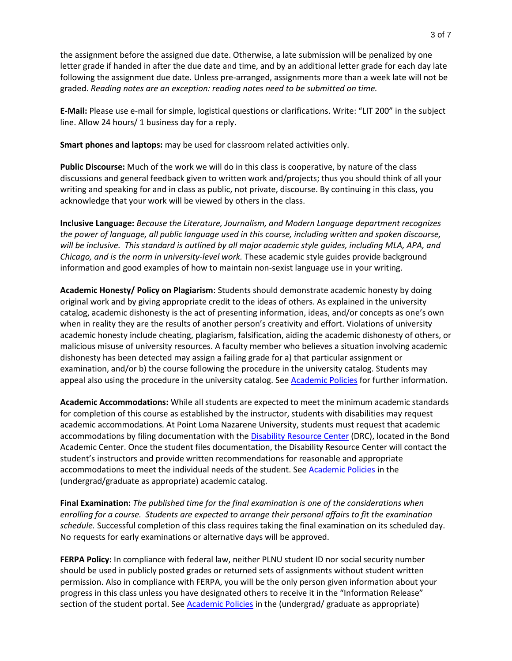the assignment before the assigned due date. Otherwise, a late submission will be penalized by one letter grade if handed in after the due date and time, and by an additional letter grade for each day late following the assignment due date. Unless pre-arranged, assignments more than a week late will not be graded. *Reading notes are an exception: reading notes need to be submitted on time.*

**E-Mail:** Please use e-mail for simple, logistical questions or clarifications. Write: "LIT 200" in the subject line. Allow 24 hours/ 1 business day for a reply.

**Smart phones and laptops:** may be used for classroom related activities only.

**Public Discourse:** Much of the work we will do in this class is cooperative, by nature of the class discussions and general feedback given to written work and/projects; thus you should think of all your writing and speaking for and in class as public, not private, discourse. By continuing in this class, you acknowledge that your work will be viewed by others in the class.

**Inclusive Language:** *Because the Literature, Journalism, and Modern Language department recognizes the power of language, all public language used in this course, including written and spoken discourse, will be inclusive. This standard is outlined by all major academic style guides, including MLA, APA, and Chicago, and is the norm in university-level work.* These academic style guides provide background information and good examples of how to maintain non-sexist language use in your writing.

**Academic Honesty/ Policy on Plagiarism**: Students should demonstrate academic honesty by doing original work and by giving appropriate credit to the ideas of others. As explained in the university catalog, academic dishonesty is the act of presenting information, ideas, and/or concepts as one's own when in reality they are the results of another person's creativity and effort. Violations of university academic honesty include cheating, plagiarism, falsification, aiding the academic dishonesty of others, or malicious misuse of university resources. A faculty member who believes a situation involving academic dishonesty has been detected may assign a failing grade for a) that particular assignment or examination, and/or b) the course following the procedure in the university catalog. Students may appeal also using the procedure in the university catalog. See [Academic Policies](http://catalog.pointloma.edu/content.php?catoid=24&navoid=1581#Academic_Honesty) for further information.

**Academic Accommodations:** While all students are expected to meet the minimum academic standards for completion of this course as established by the instructor, students with disabilities may request academic accommodations. At Point Loma Nazarene University, students must request that academic accommodations by filing documentation with the [Disability Resource Center](http://www.pointloma.edu/experience/offices/administrative-offices/academic-advising-office/disability-resource-center) (DRC), located in the Bond Academic Center. Once the student files documentation, the Disability Resource Center will contact the student's instructors and provide written recommendations for reasonable and appropriate accommodations to meet the individual needs of the student. See [Academic Policies](http://catalog.pointloma.edu/content.php?catoid=24&navoid=1581) in the (undergrad/graduate as appropriate) academic catalog.

**Final Examination:** *The published time for the final examination is one of the considerations when enrolling for a course. Students are expected to arrange their personal affairs to fit the examination schedule.* Successful completion of this class requires taking the final examination on its scheduled day. No requests for early examinations or alternative days will be approved.

**FERPA Policy:** In compliance with federal law, neither PLNU student ID nor social security number should be used in publicly posted grades or returned sets of assignments without student written permission. Also in compliance with FERPA, you will be the only person given information about your progress in this class unless you have designated others to receive it in the "Information Release" section of the student portal. Se[e Academic Policies](http://catalog.pointloma.edu/content.php?catoid=24&navoid=1581) in the (undergrad/ graduate as appropriate)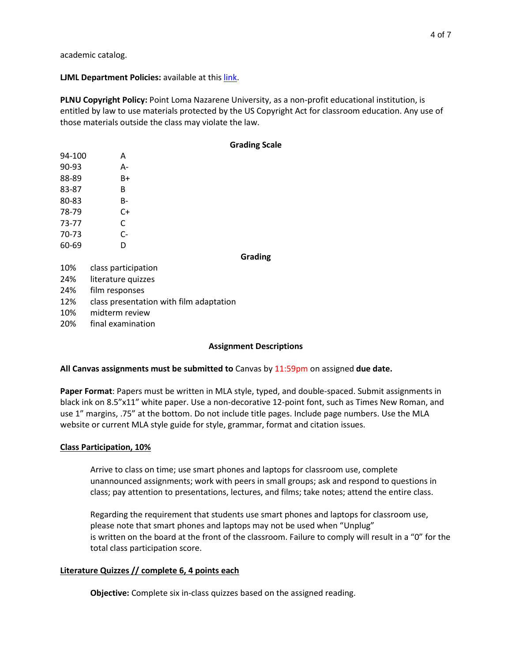academic catalog.

**LJML Department Policies: available at thi[s link.](http://www.pointloma.edu/sites/default/files/filemanager/Literature_Journalism__Modern_Languages/LJML_Department_Syllabus_Statments_final_2016-17.pdf)** 

**PLNU Copyright Policy:** Point Loma Nazarene University, as a non-profit educational institution, is entitled by law to use materials protected by the US Copyright Act for classroom education. Any use of those materials outside the class may violate the law.

#### **Grading Scale**

| 94-100 | A                                       |                |  |  |  |
|--------|-----------------------------------------|----------------|--|--|--|
| 90-93  | А-                                      |                |  |  |  |
| 88-89  | B+                                      |                |  |  |  |
| 83-87  | В                                       |                |  |  |  |
| 80-83  | B-                                      |                |  |  |  |
| 78-79  | $C+$                                    |                |  |  |  |
| 73-77  | C                                       |                |  |  |  |
| 70-73  | $C-$                                    |                |  |  |  |
| 60-69  | D                                       |                |  |  |  |
|        |                                         | <b>Grading</b> |  |  |  |
| 10%    | class participation                     |                |  |  |  |
| 24%    | literature quizzes                      |                |  |  |  |
| 24%    | film responses                          |                |  |  |  |
| 12%    | class presentation with film adaptation |                |  |  |  |
| 10%    | midterm review                          |                |  |  |  |
| 20%    | final examination                       |                |  |  |  |

#### **Assignment Descriptions**

#### **All Canvas assignments must be submitted to** Canvas by 11:59pm on assigned **due date.**

**Paper Format**: Papers must be written in MLA style, typed, and double-spaced. Submit assignments in black ink on 8.5"x11" white paper. Use a non-decorative 12-point font, such as Times New Roman, and use 1" margins, .75" at the bottom. Do not include title pages. Include page numbers. Use the MLA website or current MLA style guide for style, grammar, format and citation issues.

#### **Class Participation, 10%**

Arrive to class on time; use smart phones and laptops for classroom use, complete unannounced assignments; work with peers in small groups; ask and respond to questions in class; pay attention to presentations, lectures, and films; take notes; attend the entire class.

Regarding the requirement that students use smart phones and laptops for classroom use, please note that smart phones and laptops may not be used when "Unplug" is written on the board at the front of the classroom. Failure to comply will result in a "0" for the total class participation score.

#### **Literature Quizzes // complete 6, 4 points each**

**Objective:** Complete six in-class quizzes based on the assigned reading.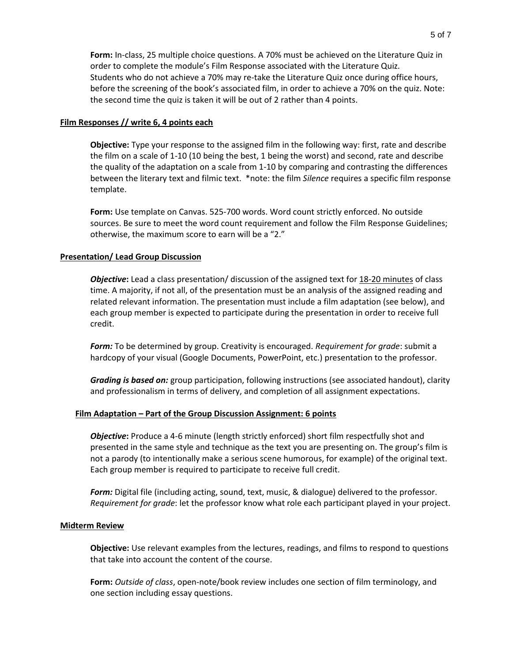**Form:** In-class, 25 multiple choice questions. A 70% must be achieved on the Literature Quiz in order to complete the module's Film Response associated with the Literature Quiz. Students who do not achieve a 70% may re-take the Literature Quiz once during office hours, before the screening of the book's associated film, in order to achieve a 70% on the quiz. Note: the second time the quiz is taken it will be out of 2 rather than 4 points.

#### **Film Responses // write 6, 4 points each**

**Objective:** Type your response to the assigned film in the following way: first, rate and describe the film on a scale of 1-10 (10 being the best, 1 being the worst) and second, rate and describe the quality of the adaptation on a scale from 1-10 by comparing and contrasting the differences between the literary text and filmic text. \*note: the film *Silence* requires a specific film response template.

**Form:** Use template on Canvas. 525-700 words. Word count strictly enforced. No outside sources. Be sure to meet the word count requirement and follow the Film Response Guidelines; otherwise, the maximum score to earn will be a "2."

#### **Presentation/ Lead Group Discussion**

*Objective***:** Lead a class presentation/ discussion of the assigned text for 18-20 minutes of class time. A majority, if not all, of the presentation must be an analysis of the assigned reading and related relevant information. The presentation must include a film adaptation (see below), and each group member is expected to participate during the presentation in order to receive full credit.

*Form:* To be determined by group. Creativity is encouraged. *Requirement for grade*: submit a hardcopy of your visual (Google Documents, PowerPoint, etc.) presentation to the professor.

*Grading is based on:* group participation, following instructions (see associated handout), clarity and professionalism in terms of delivery, and completion of all assignment expectations.

#### **Film Adaptation – Part of the Group Discussion Assignment: 6 points**

**Objective:** Produce a 4-6 minute (length strictly enforced) short film respectfully shot and presented in the same style and technique as the text you are presenting on. The group's film is not a parody (to intentionally make a serious scene humorous, for example) of the original text. Each group member is required to participate to receive full credit.

*Form:* Digital file (including acting, sound, text, music, & dialogue) delivered to the professor. *Requirement for grade*: let the professor know what role each participant played in your project.

#### **Midterm Review**

**Objective:** Use relevant examples from the lectures, readings, and films to respond to questions that take into account the content of the course.

**Form:** *Outside of class*, open-note/book review includes one section of film terminology, and one section including essay questions.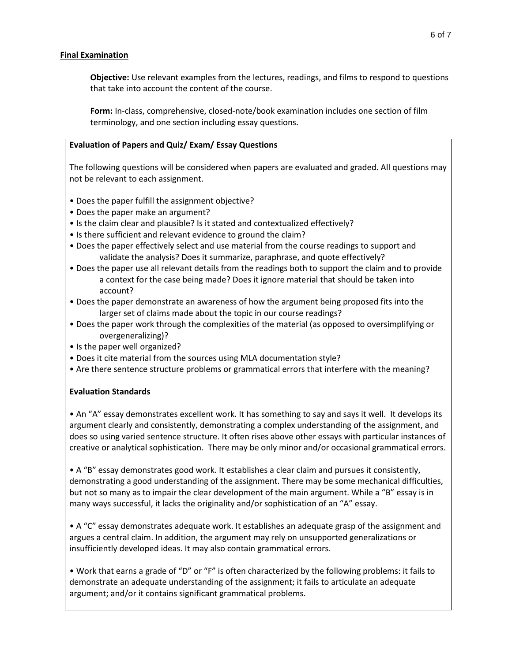# **Final Examination**

**Objective:** Use relevant examples from the lectures, readings, and films to respond to questions that take into account the content of the course.

**Form:** In-class, comprehensive, closed-note/book examination includes one section of film terminology, and one section including essay questions.

# **Evaluation of Papers and Quiz/ Exam/ Essay Questions**

The following questions will be considered when papers are evaluated and graded. All questions may not be relevant to each assignment.

- Does the paper fulfill the assignment objective?
- Does the paper make an argument?
- Is the claim clear and plausible? Is it stated and contextualized effectively?
- Is there sufficient and relevant evidence to ground the claim?
- Does the paper effectively select and use material from the course readings to support and validate the analysis? Does it summarize, paraphrase, and quote effectively?
- Does the paper use all relevant details from the readings both to support the claim and to provide a context for the case being made? Does it ignore material that should be taken into account?
- Does the paper demonstrate an awareness of how the argument being proposed fits into the larger set of claims made about the topic in our course readings?
- Does the paper work through the complexities of the material (as opposed to oversimplifying or overgeneralizing)?
- Is the paper well organized?
- Does it cite material from the sources using MLA documentation style?
- Are there sentence structure problems or grammatical errors that interfere with the meaning?

# **Evaluation Standards**

• An "A" essay demonstrates excellent work. It has something to say and says it well. It develops its argument clearly and consistently, demonstrating a complex understanding of the assignment, and does so using varied sentence structure. It often rises above other essays with particular instances of creative or analytical sophistication. There may be only minor and/or occasional grammatical errors.

• A "B" essay demonstrates good work. It establishes a clear claim and pursues it consistently, demonstrating a good understanding of the assignment. There may be some mechanical difficulties, but not so many as to impair the clear development of the main argument. While a "B" essay is in many ways successful, it lacks the originality and/or sophistication of an "A" essay.

• A "C" essay demonstrates adequate work. It establishes an adequate grasp of the assignment and argues a central claim. In addition, the argument may rely on unsupported generalizations or insufficiently developed ideas. It may also contain grammatical errors.

• Work that earns a grade of "D" or "F" is often characterized by the following problems: it fails to demonstrate an adequate understanding of the assignment; it fails to articulate an adequate argument; and/or it contains significant grammatical problems.